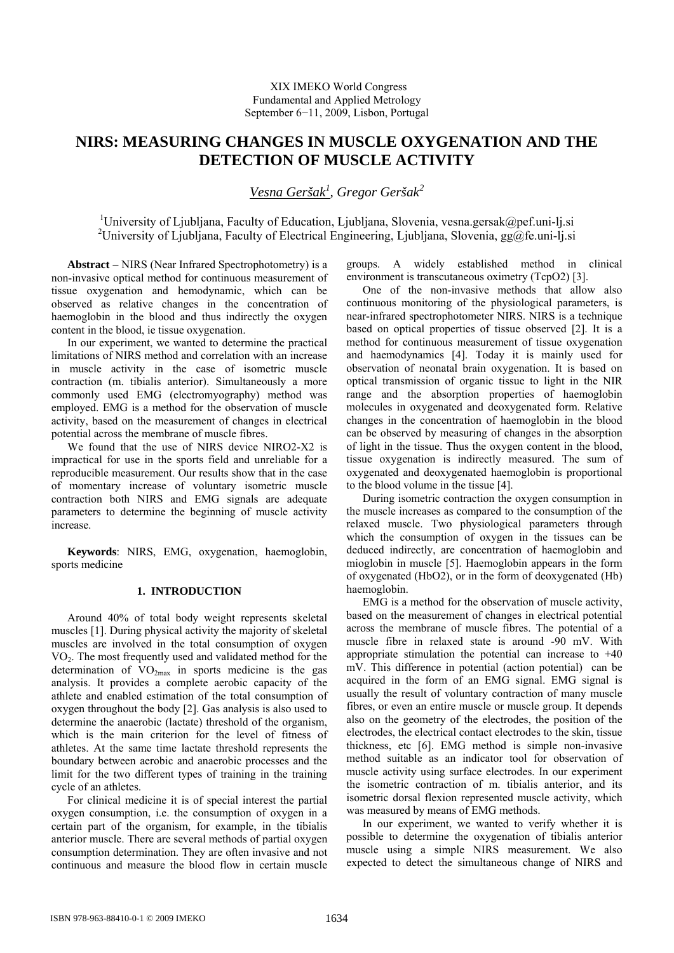# **NIRS: MEASURING CHANGES IN MUSCLE OXYGENATION AND THE DETECTION OF MUSCLE ACTIVITY**

*Vesna Geršak<sup>1</sup> , Gregor Geršak<sup>2</sup>*

<sup>1</sup>University of Ljubljana, Faculty of Education, Ljubljana, Slovenia, vesna.gersak@pef.uni-lj.si <sup>2</sup>University of Ljubljana, Faculty of Electrical Engineering, Ljubljana, Slovenia, gg@fe.uni-lj.si

**Abstract** − NIRS (Near Infrared Spectrophotometry) is a non-invasive optical method for continuous measurement of tissue oxygenation and hemodynamic, which can be observed as relative changes in the concentration of haemoglobin in the blood and thus indirectly the oxygen content in the blood, ie tissue oxygenation.

In our experiment, we wanted to determine the practical limitations of NIRS method and correlation with an increase in muscle activity in the case of isometric muscle contraction (m. tibialis anterior). Simultaneously a more commonly used EMG (electromyography) method was employed. EMG is a method for the observation of muscle activity, based on the measurement of changes in electrical potential across the membrane of muscle fibres.

We found that the use of NIRS device NIRO2-X2 is impractical for use in the sports field and unreliable for a reproducible measurement. Our results show that in the case of momentary increase of voluntary isometric muscle contraction both NIRS and EMG signals are adequate parameters to determine the beginning of muscle activity increase.

**Keywords**: NIRS, EMG, oxygenation, haemoglobin, sports medicine

## **1. INTRODUCTION**

Around 40% of total body weight represents skeletal muscles [1]. During physical activity the majority of skeletal muscles are involved in the total consumption of oxygen VO2. The most frequently used and validated method for the determination of  $VO<sub>2max</sub>$  in sports medicine is the gas analysis. It provides a complete aerobic capacity of the athlete and enabled estimation of the total consumption of oxygen throughout the body [2]. Gas analysis is also used to determine the anaerobic (lactate) threshold of the organism, which is the main criterion for the level of fitness of athletes. At the same time lactate threshold represents the boundary between aerobic and anaerobic processes and the limit for the two different types of training in the training cycle of an athletes.

For clinical medicine it is of special interest the partial oxygen consumption, i.e. the consumption of oxygen in a certain part of the organism, for example, in the tibialis anterior muscle. There are several methods of partial oxygen consumption determination. They are often invasive and not continuous and measure the blood flow in certain muscle

groups. A widely established method in clinical environment is transcutaneous oximetry (TcpO2) [3].

One of the non-invasive methods that allow also continuous monitoring of the physiological parameters, is near-infrared spectrophotometer NIRS. NIRS is a technique based on optical properties of tissue observed [2]. It is a method for continuous measurement of tissue oxygenation and haemodynamics [4]. Today it is mainly used for observation of neonatal brain oxygenation. It is based on optical transmission of organic tissue to light in the NIR range and the absorption properties of haemoglobin molecules in oxygenated and deoxygenated form. Relative changes in the concentration of haemoglobin in the blood can be observed by measuring of changes in the absorption of light in the tissue. Thus the oxygen content in the blood, tissue oxygenation is indirectly measured. The sum of oxygenated and deoxygenated haemoglobin is proportional to the blood volume in the tissue [4].

During isometric contraction the oxygen consumption in the muscle increases as compared to the consumption of the relaxed muscle. Two physiological parameters through which the consumption of oxygen in the tissues can be deduced indirectly, are concentration of haemoglobin and mioglobin in muscle [5]. Haemoglobin appears in the form of oxygenated (HbO2), or in the form of deoxygenated (Hb) haemoglobin.

EMG is a method for the observation of muscle activity, based on the measurement of changes in electrical potential across the membrane of muscle fibres. The potential of a muscle fibre in relaxed state is around -90 mV. With appropriate stimulation the potential can increase to +40 mV. This difference in potential (action potential) can be acquired in the form of an EMG signal. EMG signal is usually the result of voluntary contraction of many muscle fibres, or even an entire muscle or muscle group. It depends also on the geometry of the electrodes, the position of the electrodes, the electrical contact electrodes to the skin, tissue thickness, etc [6]. EMG method is simple non-invasive method suitable as an indicator tool for observation of muscle activity using surface electrodes. In our experiment the isometric contraction of m. tibialis anterior, and its isometric dorsal flexion represented muscle activity, which was measured by means of EMG methods.

In our experiment, we wanted to verify whether it is possible to determine the oxygenation of tibialis anterior muscle using a simple NIRS measurement. We also expected to detect the simultaneous change of NIRS and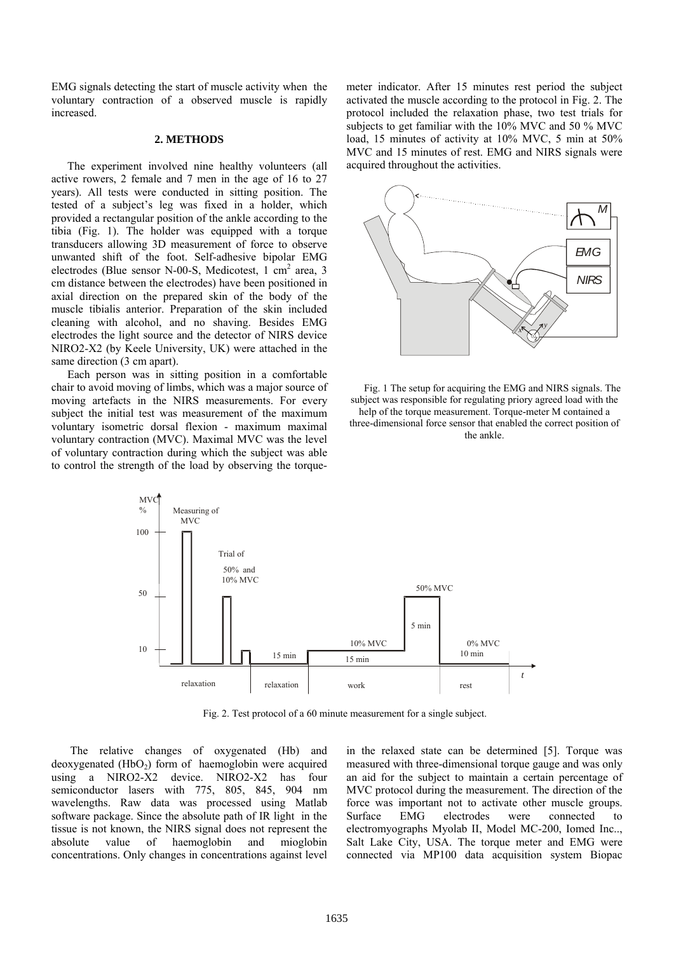EMG signals detecting the start of muscle activity when the voluntary contraction of a observed muscle is rapidly increased.

## **2. METHODS**

The experiment involved nine healthy volunteers (all active rowers, 2 female and 7 men in the age of 16 to 27 years). All tests were conducted in sitting position. The tested of a subject's leg was fixed in a holder, which provided a rectangular position of the ankle according to the tibia (Fig. 1). The holder was equipped with a torque transducers allowing 3D measurement of force to observe unwanted shift of the foot. Self-adhesive bipolar EMG electrodes (Blue sensor N-00-S, Medicotest, 1 cm<sup>2</sup> area, 3 cm distance between the electrodes) have been positioned in axial direction on the prepared skin of the body of the muscle tibialis anterior. Preparation of the skin included cleaning with alcohol, and no shaving. Besides EMG electrodes the light source and the detector of NIRS device NIRO2-X2 (by Keele University, UK) were attached in the same direction (3 cm apart).

Each person was in sitting position in a comfortable chair to avoid moving of limbs, which was a major source of moving artefacts in the NIRS measurements. For every subject the initial test was measurement of the maximum voluntary isometric dorsal flexion - maximum maximal voluntary contraction (MVC). Maximal MVC was the level of voluntary contraction during which the subject was able to control the strength of the load by observing the torquemeter indicator. After 15 minutes rest period the subject activated the muscle according to the protocol in Fig. 2. The protocol included the relaxation phase, two test trials for subjects to get familiar with the 10% MVC and 50 % MVC load, 15 minutes of activity at 10% MVC, 5 min at 50% MVC and 15 minutes of rest. EMG and NIRS signals were acquired throughout the activities.



Fig. 1 The setup for acquiring the EMG and NIRS signals. The subject was responsible for regulating priory agreed load with the help of the torque measurement. Torque-meter M contained a three-dimensional force sensor that enabled the correct position of the ankle.



Fig. 2. Test protocol of a 60 minute measurement for a single subject.

 The relative changes of oxygenated (Hb) and  $deoxygenated (HbO<sub>2</sub>)$  form of haemoglobin were acquired using a NIRO2-X2 device. NIRO2-X2 has four semiconductor lasers with 775, 805, 845, 904 nm wavelengths. Raw data was processed using Matlab software package. Since the absolute path of IR light in the tissue is not known, the NIRS signal does not represent the absolute value of haemoglobin and mioglobin concentrations. Only changes in concentrations against level in the relaxed state can be determined [5]. Torque was measured with three-dimensional torque gauge and was only an aid for the subject to maintain a certain percentage of MVC protocol during the measurement. The direction of the force was important not to activate other muscle groups. Surface EMG electrodes were connected to electromyographs Myolab II, Model MC-200, Iomed Inc.., Salt Lake City, USA. The torque meter and EMG were connected via MP100 data acquisition system Biopac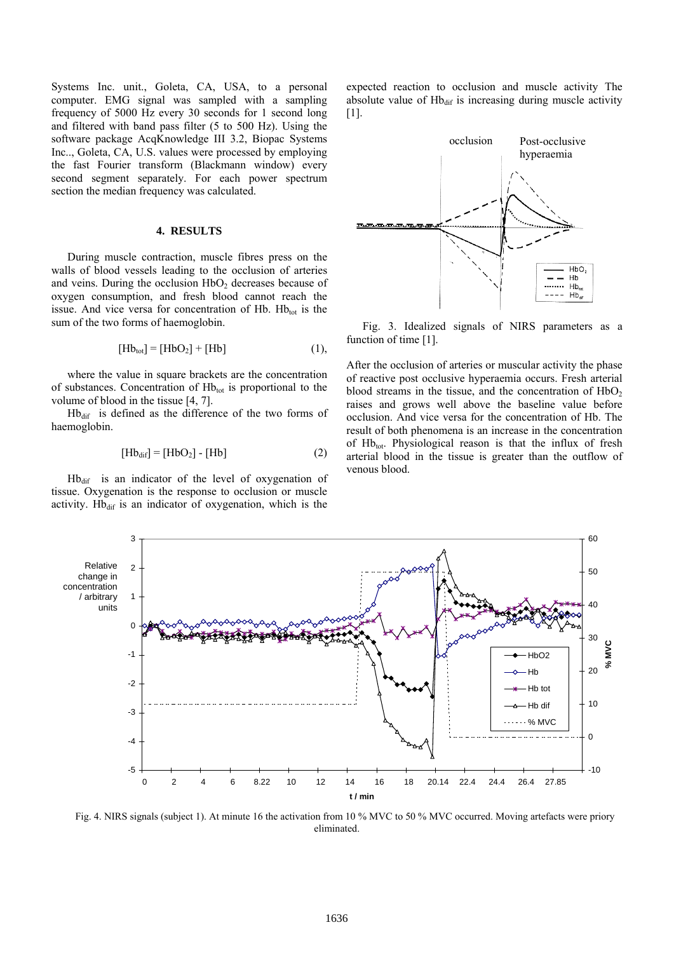Systems Inc. unit., Goleta, CA, USA, to a personal computer. EMG signal was sampled with a sampling frequency of 5000 Hz every 30 seconds for 1 second long and filtered with band pass filter (5 to 500 Hz). Using the software package AcqKnowledge III 3.2, Biopac Systems Inc.., Goleta, CA, U.S. values were processed by employing the fast Fourier transform (Blackmann window) every second segment separately. For each power spectrum section the median frequency was calculated.

## **4. RESULTS**

During muscle contraction, muscle fibres press on the walls of blood vessels leading to the occlusion of arteries and veins. During the occlusion  $HbO<sub>2</sub>$  decreases because of oxygen consumption, and fresh blood cannot reach the issue. And vice versa for concentration of Hb.  $Hb_{tot}$  is the sum of the two forms of haemoglobin.

$$
[Hb_{\text{tot}}] = [HbO_2] + [Hb]
$$
 (1),

where the value in square brackets are the concentration of substances. Concentration of Hbtot is proportional to the volume of blood in the tissue [4, 7].

Hb<sub>dif</sub> is defined as the difference of the two forms of haemoglobin.

$$
[Hbdif] = [HbO2] - [Hb]
$$
 (2)

 $Hb_{\text{dif}}$  is an indicator of the level of oxygenation of tissue. Oxygenation is the response to occlusion or muscle activity. Hb $_{\text{dif}}$  is an indicator of oxygenation, which is the





Fig. 3. Idealized signals of NIRS parameters as a function of time [1].

After the occlusion of arteries or muscular activity the phase of reactive post occlusive hyperaemia occurs. Fresh arterial blood streams in the tissue, and the concentration of  $HbO<sub>2</sub>$ raises and grows well above the baseline value before occlusion. And vice versa for the concentration of Hb. The result of both phenomena is an increase in the concentration of  $Hb_{tot}$ . Physiological reason is that the influx of fresh arterial blood in the tissue is greater than the outflow of venous blood.



Fig. 4. NIRS signals (subject 1). At minute 16 the activation from 10 % MVC to 50 % MVC occurred. Moving artefacts were priory eliminated.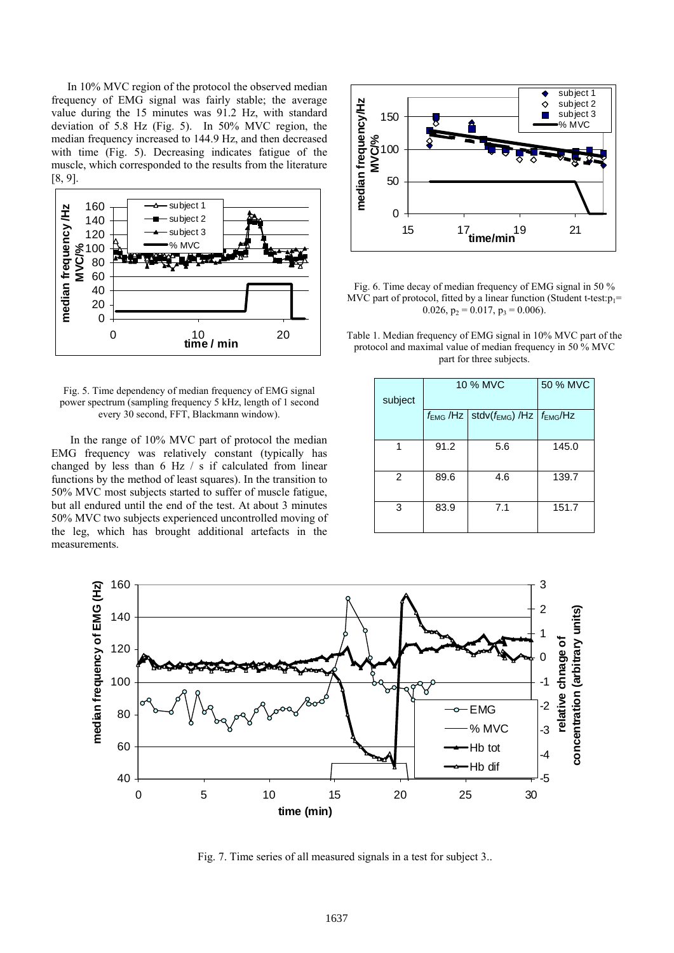In 10% MVC region of the protocol the observed median frequency of EMG signal was fairly stable; the average value during the 15 minutes was 91.2 Hz, with standard deviation of 5.8 Hz (Fig. 5). In 50% MVC region, the median frequency increased to 144.9 Hz, and then decreased with time (Fig. 5). Decreasing indicates fatigue of the muscle, which corresponded to the results from the literature [8, 9].



Fig. 5. Time dependency of median frequency of EMG signal power spectrum (sampling frequency 5 kHz, length of 1 second every 30 second, FFT, Blackmann window).

 In the range of 10% MVC part of protocol the median EMG frequency was relatively constant (typically has changed by less than 6 Hz / s if calculated from linear functions by the method of least squares). In the transition to 50% MVC most subjects started to suffer of muscle fatigue, but all endured until the end of the test. At about 3 minutes 50% MVC two subjects experienced uncontrolled moving of the leg, which has brought additional artefacts in the measurements.



Fig. 6. Time decay of median frequency of EMG signal in 50 % MVC part of protocol, fitted by a linear function (Student t-test: $p_1$ = 0.026,  $p_2 = 0.017$ ,  $p_3 = 0.006$ ).

Table 1. Median frequency of EMG signal in 10% MVC part of the protocol and maximal value of median frequency in 50 % MVC part for three subjects.

| subject | 10 % MVC |                                                                           | 50 % MVC |
|---------|----------|---------------------------------------------------------------------------|----------|
|         |          | $f_{\text{EMG}}$ /Hz   stdv $(f_{\text{EMG}})$ /Hz   $f_{\text{EMG}}$ /Hz |          |
| 1       | 91.2     | 5.6                                                                       | 145.0    |
| 2       | 89.6     | 4.6                                                                       | 139.7    |
| 3       | 83.9     | 7.1                                                                       | 151.7    |



Fig. 7. Time series of all measured signals in a test for subject 3..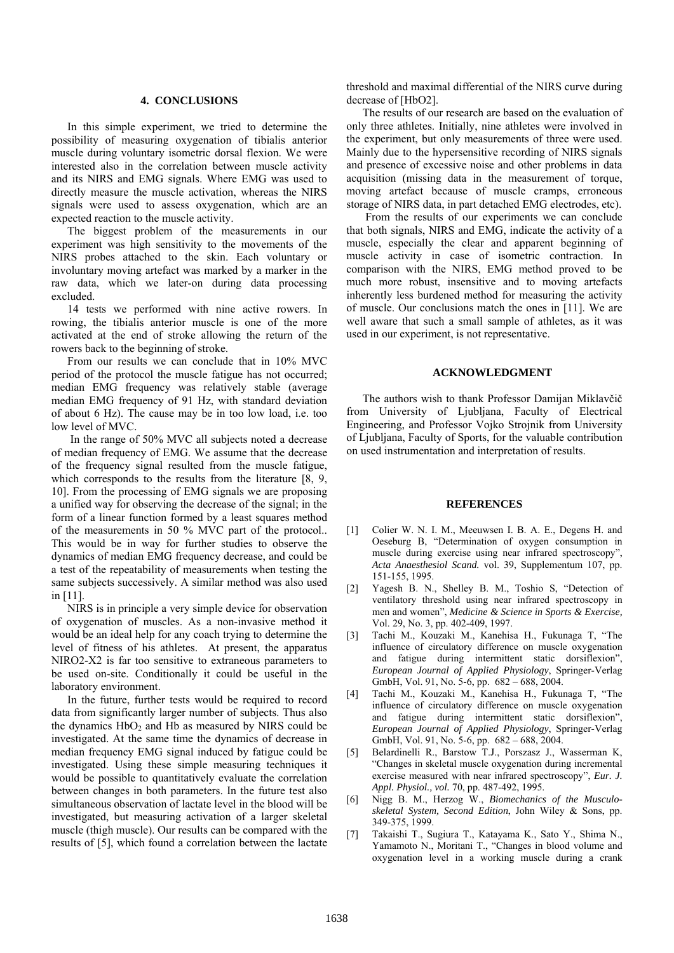## **4. CONCLUSIONS**

In this simple experiment, we tried to determine the possibility of measuring oxygenation of tibialis anterior muscle during voluntary isometric dorsal flexion. We were interested also in the correlation between muscle activity and its NIRS and EMG signals. Where EMG was used to directly measure the muscle activation, whereas the NIRS signals were used to assess oxygenation, which are an expected reaction to the muscle activity.

The biggest problem of the measurements in our experiment was high sensitivity to the movements of the NIRS probes attached to the skin. Each voluntary or involuntary moving artefact was marked by a marker in the raw data, which we later-on during data processing excluded.

14 tests we performed with nine active rowers. In rowing, the tibialis anterior muscle is one of the more activated at the end of stroke allowing the return of the rowers back to the beginning of stroke.

From our results we can conclude that in 10% MVC period of the protocol the muscle fatigue has not occurred; median EMG frequency was relatively stable (average median EMG frequency of 91 Hz, with standard deviation of about 6 Hz). The cause may be in too low load, i.e. too low level of MVC.

 In the range of 50% MVC all subjects noted a decrease of median frequency of EMG. We assume that the decrease of the frequency signal resulted from the muscle fatigue, which corresponds to the results from the literature [8, 9, 10]. From the processing of EMG signals we are proposing a unified way for observing the decrease of the signal; in the form of a linear function formed by a least squares method of the measurements in 50 % MVC part of the protocol.. This would be in way for further studies to observe the dynamics of median EMG frequency decrease, and could be a test of the repeatability of measurements when testing the same subjects successively. A similar method was also used in [11].

NIRS is in principle a very simple device for observation of oxygenation of muscles. As a non-invasive method it would be an ideal help for any coach trying to determine the level of fitness of his athletes. At present, the apparatus NIRO2-X2 is far too sensitive to extraneous parameters to be used on-site. Conditionally it could be useful in the laboratory environment.

In the future, further tests would be required to record data from significantly larger number of subjects. Thus also the dynamics  $HbO<sub>2</sub>$  and  $Hb$  as measured by NIRS could be investigated. At the same time the dynamics of decrease in median frequency EMG signal induced by fatigue could be investigated. Using these simple measuring techniques it would be possible to quantitatively evaluate the correlation between changes in both parameters. In the future test also simultaneous observation of lactate level in the blood will be investigated, but measuring activation of a larger skeletal muscle (thigh muscle). Our results can be compared with the results of [5], which found a correlation between the lactate threshold and maximal differential of the NIRS curve during decrease of [HbO2].

The results of our research are based on the evaluation of only three athletes. Initially, nine athletes were involved in the experiment, but only measurements of three were used. Mainly due to the hypersensitive recording of NIRS signals and presence of excessive noise and other problems in data acquisition (missing data in the measurement of torque, moving artefact because of muscle cramps, erroneous storage of NIRS data, in part detached EMG electrodes, etc).

 From the results of our experiments we can conclude that both signals, NIRS and EMG, indicate the activity of a muscle, especially the clear and apparent beginning of muscle activity in case of isometric contraction. In comparison with the NIRS, EMG method proved to be much more robust, insensitive and to moving artefacts inherently less burdened method for measuring the activity of muscle. Our conclusions match the ones in [11]. We are well aware that such a small sample of athletes, as it was used in our experiment, is not representative.

## **ACKNOWLEDGMENT**

The authors wish to thank Professor Damijan Miklavčič from University of Ljubljana, Faculty of Electrical Engineering, and Professor Vojko Strojnik from University of Ljubljana, Faculty of Sports, for the valuable contribution on used instrumentation and interpretation of results.

#### **REFERENCES**

- [1] Colier W. N. I. M., Meeuwsen I. B. A. E., Degens H. and Oeseburg B, "Determination of oxygen consumption in muscle during exercise using near infrared spectroscopy", *Acta Anaesthesiol Scand.* vol. 39, Supplementum 107, pp. 151-155, 1995.
- [2] Yagesh B. N., Shelley B. M., Toshio S, "Detection of ventilatory threshold using near infrared spectroscopy in men and women", *Medicine & Science in Sports & Exercise,*  Vol. 29, No. 3, pp. 402-409, 1997.
- [3] Tachi M., Kouzaki M., Kanehisa H., Fukunaga T, "The influence of circulatory difference on muscle oxygenation and fatigue during intermittent static dorsiflexion", *European Journal of Applied Physiology*, Springer-Verlag GmbH, Vol. 91, No. 5-6, pp. 682 – 688, 2004.
- [4] Tachi M., Kouzaki M., Kanehisa H., Fukunaga T, "The influence of circulatory difference on muscle oxygenation and fatigue during intermittent static dorsiflexion", *European Journal of Applied Physiology*, Springer-Verlag GmbH, Vol. 91, No. 5-6, pp. 682 – 688, 2004.
- [5] Belardinelli R., Barstow T.J., Porszasz J., Wasserman K, "Changes in skeletal muscle oxygenation during incremental exercise measured with near infrared spectroscopy", *Eur. J. Appl. Physiol., vol.* 70, pp. 487-492, 1995.
- [6] Nigg B. M., Herzog W., *Biomechanics of the Musculoskeletal System, Second Edition*, John Wiley & Sons, pp. 349-375, 1999.
- [7] Takaishi T., Sugiura T., Katayama K., Sato Y., Shima N., Yamamoto N., Moritani T., "Changes in blood volume and oxygenation level in a working muscle during a crank